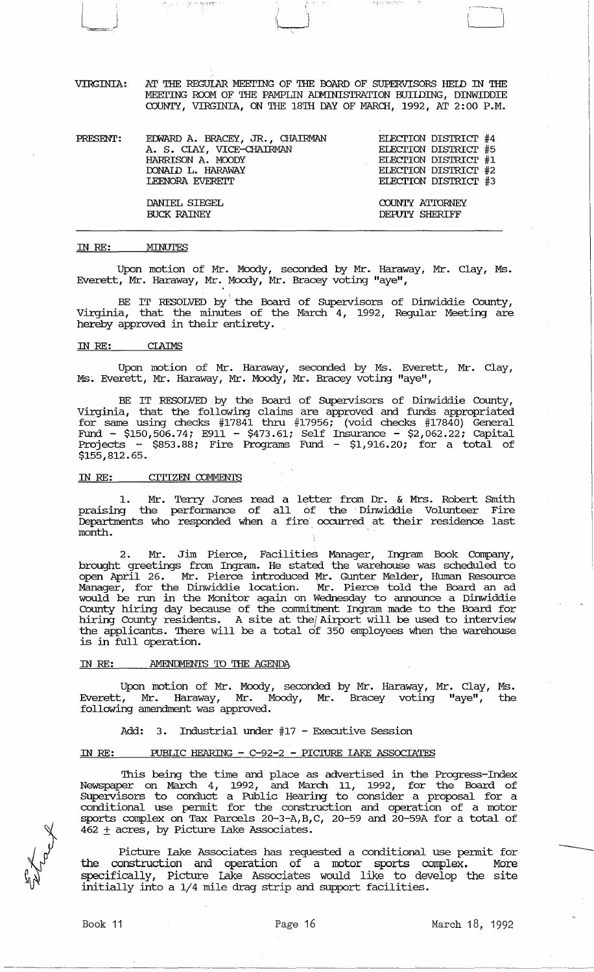VIRGINIA: AT THE REGUlAR MEErING OF THE OOARD OF SUPERVISORS HEID IN THE MEETING ROOM OF THE PAMPLIN ADMINISTRATION BUILDING, DINWIDDIE COUNTY, VIRGINIA, ON THE 18TH DAY OF MARCH, 1992, AT 2:00 P.M.

| PRESENT: | EDWARD A. BRACEY, JR., CHAIRMAN | ELECTION DISTRICT #4 |
|----------|---------------------------------|----------------------|
|          | A. S. CLAY, VICE-CHAIRMAN       | ELECTION DISTRICT #5 |
|          | HARRISON A. MOODY               | ELECTION DISTRICT #1 |
|          | DONAID L. HARAWAY               | ELECTION DISTRICT #2 |
|          | <b>LEENORA EVERETT</b>          | ELECTION DISTRICT #3 |
|          | DANIEL SIEGEL                   | COUNTY ATTORNEY      |
|          | <b>BUCK RAINEY</b>              | DEPUTY SHERIFF       |

#### IN *RE:*  MINUTES

计工作 计排列 整理機

Upon motion of Mr. Moody, seconded by Mr. Haraway, Mr. Clay, Ms. Everett, Mr. Haraway, Mr. Moody, Mr. Bracey voting "aye",

BE IT RESOLVED by the Board of Supervisors of Dinwiddie County, Virginia, that the minutes of the March 4, 1992, Regular Meeting are hereby approved in their entirety.

### IN *RE:* CLAIMS

Upon motion of Mr. Haraway, seconded by Ms. Everett, Mr. Clay, Ms. Everett, Mr. Haraway, Mr. Moody, Mr. Bracey voting "aye",

BE IT RESOLVED by the Board of Supervisors of Dinwiddie County, Virginia, that the following claims are approved and funds appropriated for same using checks #17841 thru #17956; (void checks #17840) General Fund - \$150,506.74; E911 - \$473.61; Self Insurance - \$2,062.22; capital Projects - \$853.88; Fire Programs Fund - \$1,916.20; for a total of \$155,812.65.

### IN RE: CITIZEN COMMENTS

1. Mr. Terry Jones read a letter from Dr. & Mrs. Robert Smith praising the performance of all of the Dinwiddie Volunteer Fire Departments who responded when a fire occurred at their residence last month.

2. Mr. Jim Pierce, Facilities Manager, Ingram Book Company, brought greetings from Ingram. He stated the warehouse was scheduled to open April 26. Mr. Pierce introduced Mr. Gunter Melder, Human Resource Manager, for the Dinwiddie location. Mr. Pierce told the Board an ad would be run in the Monitor again on Wednesday to announce a Dinwiddie County hiring day because of the commitment Ingram made to the Board for bounty initially any residents. A site at the Airport will be used to interview the applicants. There will be a total of 350 employees when the warehouse is in full operation.

#### IN RE: AMENDMENTS TO THE AGENDA

Upon motion of Mr. Moody, seconded by Mr. Haraway, Mr. Clay, Ms. Everett, Mr. Haraway, Mr. Moody, Mr. Bracey voting "aye", the following amendment was approved.

Add: 3. Industrial under #17 - Executive Session

#### IN *RE:* PUBLIC HEARING - *C-92-2* - PICIURE lAKE ASSOCIATES

This being the time and place as advertised in the Progress-Index Newspaper on March 4, 1992, and March 11, 1992, for the Board of SUpe:rvisors to conduct a Public Hearing to consider a proposal for a conditional use pennit for the construction and operation of a motor sports complex on Tax Parcels 20-3-A,B,C, 20-59 and 20-59A for a total of  $462 \pm \text{acres}$ , by Picture Lake Associates.

Picture lake Associates has requested a conditional use pennit for the construction and operation of a motor sports complex. More specifically, Picture Lake Associates would like to develop the site initially into a 1/4 mile drag strip and support facilities.

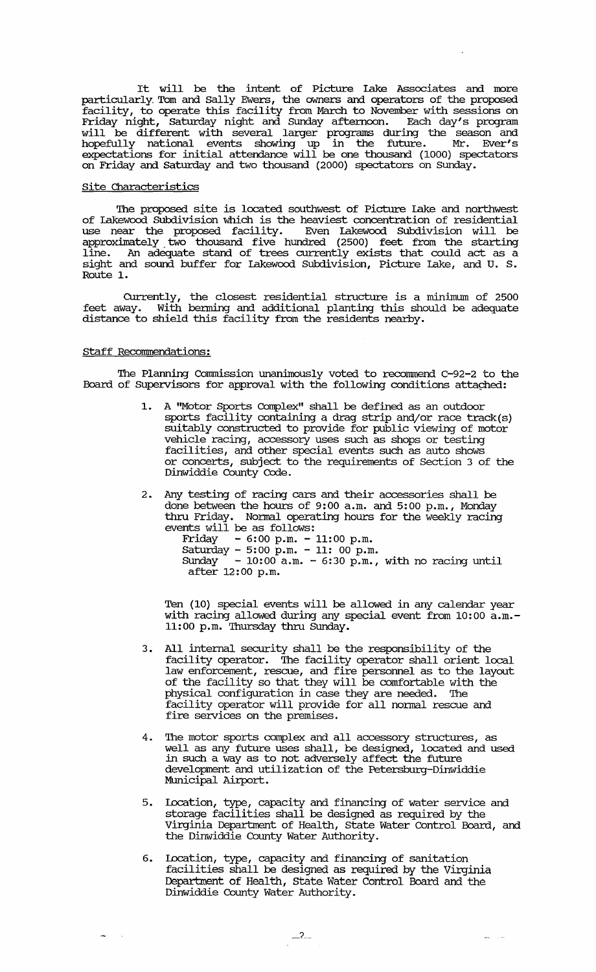It will be the intent of Picture lake Associates and more particularly, Tom and Sally Ewers, the owners and operators of the proposed facility, to operate this facility from March to November with sessions on Friday night, Saturday night and Sunday afternoon. Each day's program will be different with several larger programs during the season and hopefully national events showing up in the future. Mr. Ever's expectations for initial attendance will be one thousand (1000) spectators on Friday and Saturday and two thousand (2000) spectators on Sunday.

## site Characteristics

The proposed site is locateq southwest of picture lake and northwest of lakewood SUbdivision which is the heaviest concentration of residential use near the proposed facility. Even lakewood Subdivision will be approximately. two thousand five hundred (2500) feet from the starting line. An adequate stand of trees currently exists that could act as a sight and sound buffer for lakewood Subdivision, Picture lake, and U. S. Route 1.

Currently, the closest residential structure is a minimum of 2500 feet away. With benning and additional planting this should be adequate distance to shield this facility from the residents nearby.

## Staff Recommendations:

The Planning commission unanimously voted to recommend C-92-2 to the Board of Supervisors for approval with the following conditions attached:

- 1. A "Motor Sports Complex" shall be defined as an outdoor sports facility containing a drag strip and/or race track(s) suitably constructed to provide for public viewing of motor vehicle racing, accessory uses such as shops or testing facilities, and other special events such as auto shows or concerts, subject to the requirements of Section 3 of the Dinwiddie County Code.
- 2. Any testing of racing cars and their accessories shall be done between the hours of 9: 00 a. m. and 5: 00 p. m., Monday thru Friday. Nonnal operating hours for the weekly racing events will be as follows:
	- Friday 6:00 p.m. 11:00 p.m.
	- $Saturday 5:00 p.m. 11: 00 p.m.$ Sunday  $-10:00$  a.m.  $-6:30$  p.m., with no racing until Sunday  $-10:00$ <br>after 12:00 p.m.

Ten (10) special events will be allowed in any calendar year with racing allowed during any special event from 10:00 a.m.- 11:00 p.m. Thursday thru Sunday.

- 3. All internal security shall be the responsibility of the facility operator. The facility operator shall orient local law enforcement, rescue, and fire personnel as to the layout of the facility so that they will be comfortable with the physical configuration in case they are needed. The facility operator will provide for all nonnal rescue and fire services on the premises.
- The motor sports complex and all accessory structures, as well as any future uses shall, be designed, located and used in such a way as to not adversely affect the future development and utilization of the Petersburg-Dinwiddie Municipal Airport.
- 5. Location, type, capacity and financing of water service and storage facilities shall be designed as required by the Virginia Department of Health, State Water Control Board, and the Dinwiddie County Water Authority.
- 6. Iocation, type, capacity and financing of sanitation facilities shall be designed as required by the Virginia Department of Health, state Water Control Board and the Dinwiddie County Water Authority.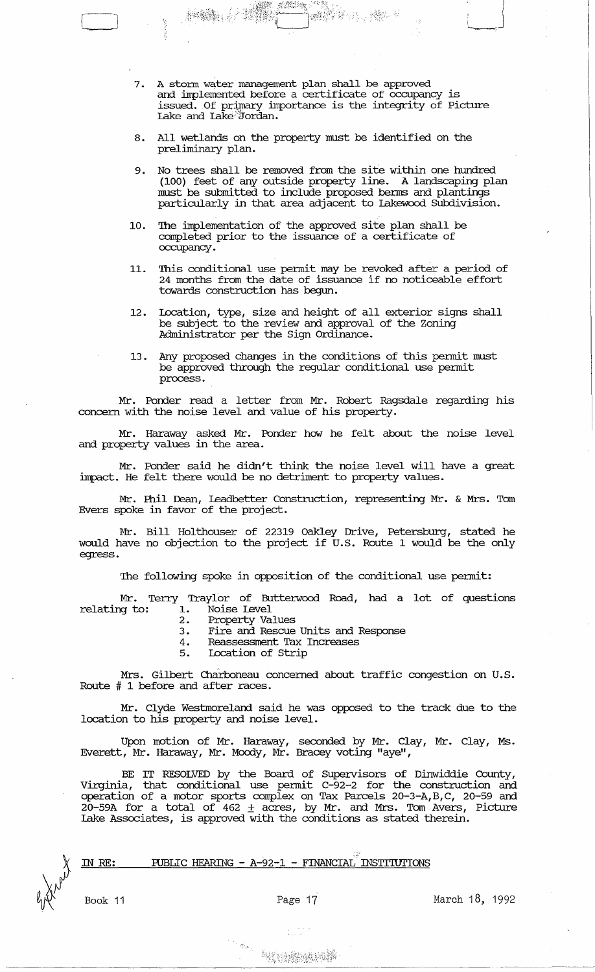7. A storm water management plan shall be approved and implemented before a certificate of occupancy is issued. Of primary importance is the integrity of Picture Lake and Lake:'Jordan.

:1.

*i* 

 $\begin{pmatrix} 1 & 1 \\ 1 & 1 \end{pmatrix}$  $\perp$ 

 $\int$ 

- 8. All wetlands on the property must be identified on the preliminary plan.
- 9. No trees shall be removed from the site within one hundred (100) feet of any outside property line. A landscaping plan must be submitted to include proposed benns and plantings particularly in that area adjacent to Lakewood Subdivision.
- 10. The implementation of the approved site plan shall be completed prior to the issuance of a certificate of occupancy.
- 11. This conditional use permit may be revoked after a period of 24 months from the date of issuance if no noticeable effort towards construction has begun.
- 12. Location, type, size and height of all exterior signs shall be subject to the review and approval of the Zoning Administrator per the Sign Ordinance.
- 13 . Any proposed changes in the conditions of this permit must be approved through the regular conditional use permit process.

Mr. Ponder read a letter from Mr. Robert Ragsdale regarding his concern with the noise level and value of his property.

Mr. Haraway asked Mr. Ponder how he felt about the noise level and property values in the area.

Mr. Ponder said he didn't think the noise level will have a great impact. He felt there would be no detriment to property values.

Mr. Phil Dean, Leadbetter Construction, representing Mr. & Mrs. Tom Evers spoke in favor of the project.

Mr. Bill Holthouser of 22319 Oakley Drive, Petersburg, stated he would have no objection to the project if U.S. Route 1 would be the only egress.

The following spoke in opposition of the conditional use permit:

Mr. Terry Traylor of Butterwood Road, had a lot of questions relating to: 1. Noise Level

- 2. Property Values
- 3. Fire and Rescue Units and Response
- 4. Reassessment Tax Increases<br>5. Iocation of Strip
- 5. Location of Strip

Mrs. Gilbert Charboneau concerned about traffic congestion on U.S. Route # 1 before and after races.

Mr. Clyde Westmoreland said he was opposed to the track due to the location to his property and noise level.

Upon motion of Mr. Haraway, seconded by Mr. Clay, Mr. Clay, Ms. Everett, Mr. Haraway, Mr. Moody, Mr. Bracey voting "aye",

BE IT RESOLVED by the Board of supervisors of Dinwiddie County, Virginia, that conditional use permit C-92-2 for the construction and operation of a motor sports complex on Tax Parcels 20-3-A,B,C, 20-59 and  $20-59A$  for a total of  $462 \pm \text{acres}$ , by Mr. and Mrs. Tom Avers, Picture Lake Associates, is approved with the conditions as stated therein.

#### . - PUBLIC HEARING - A-92-1 - FINANCIAL INSTI'IUTIONS IN RE:

Book 11

Page 17 March 18, 1992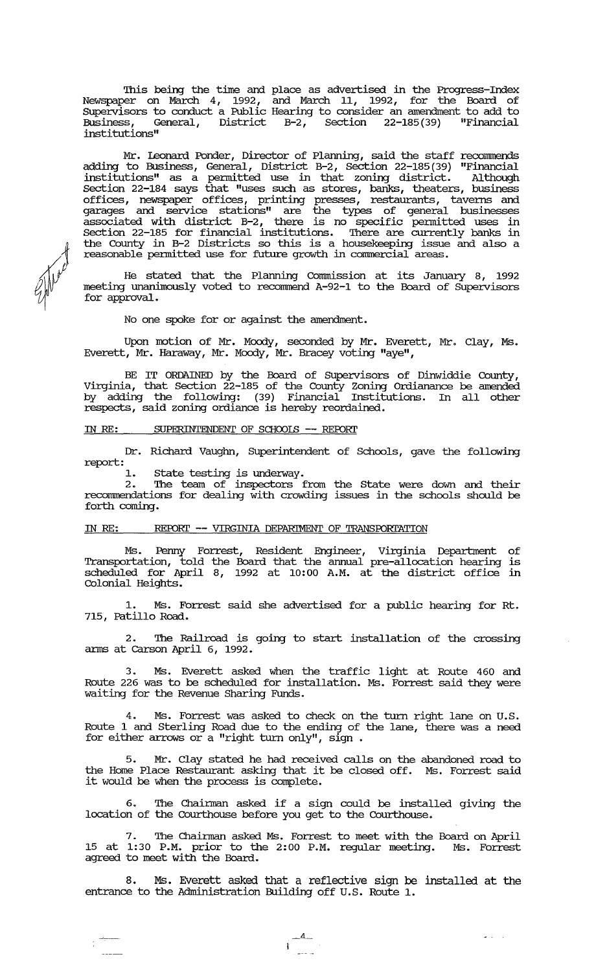This being the time and place as advertised in the Progress-Index Newspaper on March 4, 1992, and March 11, 1992, for the Board of Supervisors to conduct a Public Hearing to consider an amendment to add to Business, General, District B-2, Section 22-185 (39) "Financial institutions"

Mr. leonard Ponder, Director of Planning, said the staff recommends adding to Business, General, District B-2, Section 22-185(39) "Financial institutions" as a pennitted use in that zoning district. Although Section 22-184 says that "uses such as stores, banks, theaters, business offices, newspaper offices, printing presses, restaurants, taverns and garages and service stations" are the types of general businesses associated with district B-2, there is no specific permitted uses in Section 22-185 for financial institutions. There are currently banks in the County in B-2 Districts so this is a housekeeping issue and also a reasonable pennitted use for future growth in commercial areas.

He stated that the Planning Commission at its January 8, 1992 meeting unanimously voted to recommend A-92-1 to the Board of Supervisors for approval.

No one spoke for or against the amendment.

Upon motion of Mr. Moody, seconded by Mr. Everett, Mr. Clay, Ms. Everett, Mr. Haraway, Mr. Moody, Mr. Bracey voting "aye",

BE IT ORDAINED by the Board of Supervisors of Dinwiddie County, Virginia, that Section 22-185 of the County Zoning Ordianance be amended by adding the following: (39) Financial Institutions. In all other respects, said zoning ordiance is hereby reordained.

# IN RE: SUPERINTENDENT OF SCHOOLS -- REPORT

f 1000 ft

Dr. Richard Vaughn, Superintendent of Schools, gave the following report:

1. State testing is underway.

2. The team of inspectors from the State were down and their reconnnendations for dealing with crowding issues in the schools should be forth coming.

## IN RE: REPORT -- VIRGINIA DEPARIMENT OF TRANSPORTATION

Ms. Penny Forrest, Resident Engineer, Virginia Department of Transportation, told the Board that the annual pre-allocation hearing is scheduled for April 8, 1992 at 10:00 A.M. at the district office in Colonial Heights.

1. Ms. Forrest said she advertised for a public hearing for Rt. 715, Patillo Road.

2. The Railroad is going to start installation of the crossing arms at Carson April 6, 1992.

Ms. Everett asked when the traffic light at Route 460 and Route 226 was to be scheduled for installation. Ms. Forrest said they were waiting for the Revenue Sharing Funds.

Ms. Forrest was asked to check on the turn right lane on U.S. Route 1 and Sterling Road due to the ending of the lane, there was a need for either arrows or a "right turn only",  $sign$ .

5. Mr. Clay stated he had received calls on the abandoned road to the Home Place Restaurant asking that it be closed off. Ms. Forrest said it would be when the process is complete.

6. The Chairman asked if a sign could be installed giving the location of the Courthouse before you get to the Courthouse.

7. 'Ihe Chairman asked Ms. Forrest to meet with the Board on April 15 at 1:30 P.M. prior to the 2:00 P.M. regular meeting. Ms. Forrest agreed to meet with the Board.

8. Ms. Everett asked that a reflective sign be installed at the entrance to the Administration Building off U.S. Route 1.

 $\overline{a}$ 

 $\omega_{\rm{max}}=1$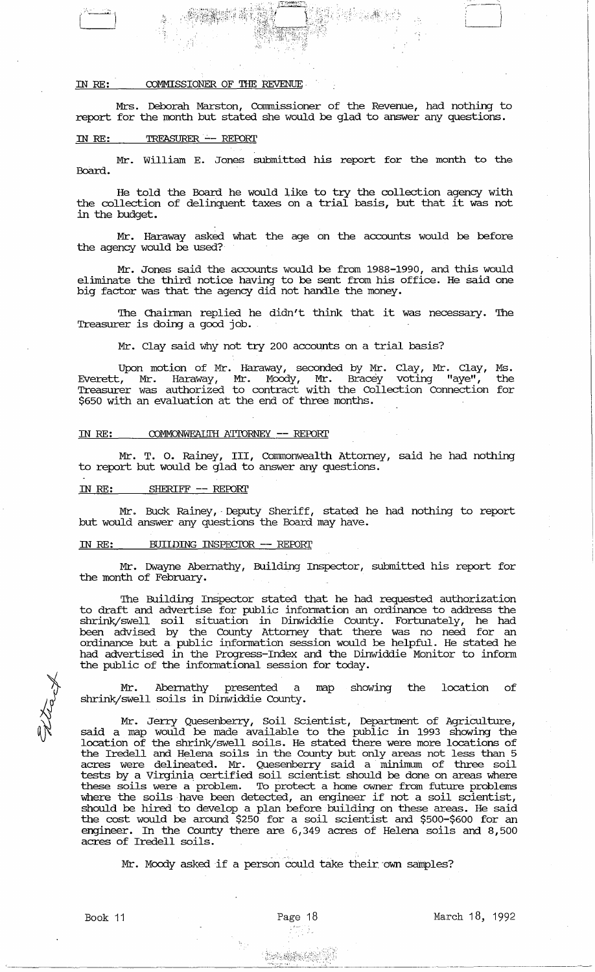# IN RE: COMMISSIONER OF THE REVENUE

Mrs. Deborah Marston, Comnissioner of the Revenue, had nothing to report for the month but stated she would be glad to answer any questions.

#### IN RE: TREASURER -- REPORT

,,~)  $\begin{pmatrix} 1 & 1 \\ 1 & 1 \end{pmatrix}$ 

Mr. William E. Jones submitted his report for the month to the Board.

He told the Board he would like to try the collection agency with the collection of delinquent taxes on a trial basis, but that it was not in the budget.

Mr. Haraway asked what the age on the accounts would be before the agency would be used?

Mr. Jones said the accounts would be from 1988-1990, and this would eliminate the third notice having to be sent from his office. He said one big factor was that the agency did not handle the money.

The Chairman replied he didn't think that it was necessary. The Treasurer is doing a good job.

Mr. Clay said why not try 200 accounts on a trial basis?

Upon motion of Mr. Haraway, seconded by Mr. Clay, Mr. Clay, Ms. Everett, Mr. Haraway, Mr. Moody, Mr. Bracey voting "aye", the Treasurer was authorized to contract with the Collection Connection for \$650 with an evaluation at the end of three months.

## IN RE: COMMONWEALTH ATTORNEY -- REPORT

Mr. T. o. Rainey, III, Commonwealth Attorney, said he had nothing to report but would be glad to answer any questions.

## IN *RE:* SHERIFF -- REFORl'

Mr. Buck Rainey, 'Deputy Sheriff, stated he had nothing to report but would answer any questions the Board may have.

### IN RE: BUIIDING INSPECIOR -- REPORT

Mr. Dwayne Abernathy, Building Inspector, submitted his report for the month of February.

'Ihe Building InSpector stated that he had requested authorization to draft and advertise for public information an ordinance to address the shrink/swell soil situation in Dinwiddie County. Fortunately, he had been advised by the County Attorney that there was no need for an ordinance but a public information session would be helpful. He stated he had advertised in the Progress-Index and the Dinwiddie Monitor to inform the public of the informational session for today.

Mr. Abernathy presented a map showing the location of shrink/swell soils in Dinwiddie County.

Mr. Jerry Quesenberry, Soil Scientist, Department of Agriculture, said a map would be made available to the public in 1993 showing the location of the shrink/swell soils. He stated there were more locations of the Iredell and Helena soils in the County but only areas not less than 5 acres were delineated. Mr. Quesenberry said a minimum of three soil tests by a Virginia certified soil scientist should be done on areas where these soils were a problem. To protect a home owner from future problems where soils were a problem. To procect a home owner from fucure problems<br>where the soils have been detected, an engineer if not a soil scientist, should be hired to develop a plan before building on these areas. He said the cost would be around \$250 for a soil scientist and \$500-\$600 for an engineer. In the County there are 6,349 acres of Helena soils and 8,500 acres of Iredell soils.

Mr. Moody asked if a person could take their own samples?

**Lought State** 

9.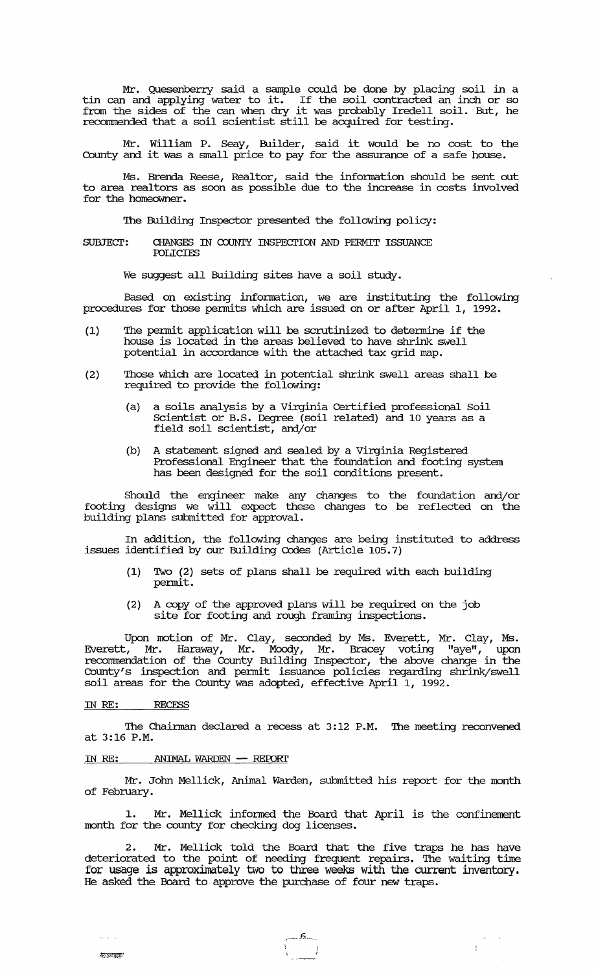Mr. Quesenberry said a sample could be done by placing soil in a tin can and applying water to it. If the soil contracted an inch or so from the sides of the can when dry it was probably Iredell soil. But, he recommended that a soil scientist still be acquired for testing.

Mr. William P. Seay, Builder, said it would be no cost to the County and it was a small price to pay for the assurance of a safe house.

Ms. Brenda Reese, Realtor, said the infonnation should be sent out to area realtors as soon as possible due to the increase in costs involved for the homeowner.

'Ihe Building Inspector presented the following policy:

#### SUBJECT: CHANGES IN COUNTY INSPECTION AND PERMIT ISSUANCE **POLLCIES**

We suggest all Building sites have a soil study.

Based. on existing infonnation, we are instituting the following procedures for those permits which are issued on or after April 1, 1992.

- (1) 'Ihe pemit application will be scrutinized to detemine if the house is located in the areas believed to have shrink swell potential in accordance with the attached tax grid map.
- (2) 'Ihose which are located in potential shrink swell areas shall be required to provide the following:
	- (a) a soils analysis by a Virginia Certified professional Soil Scientist or B.S. Degree (soil related) and 10 years as a field soil scientist, and/or
	- (b) A statement signed and sealed by a Virginia Registered. Professional Engineer that the foundation and footing system has been designed for the soil conditions present.

Should the engineer make any changes to the foundation and/or footing designs we will expect these changes to be reflected on the building plans submitted for approval.

In addition, the following changes are being instituted to address issues identified by our Building Codes (Article 105.7)

- (1) Two (2) sets of plans shall be required with each building permit.
- (2) A copy of the approved plans will be required on the job site for footing and rough framing inspections.

Upon motion of Mr. Clay, seconded by Ms. Everett, Mr. Clay, Ms. Everett, Mr. Haraway, Mr. Moody, Mr. Bracey voting "aye", upon recommendation of the County Building Inspector, the above change in the County's inspection and permit issuance policies regarding shrink/swell soil areas for the County was adopted, effective April 1, 1992.

#### IN RE: RECESS

, $4\pi$  ,  $2\pi$  and  $\pi$ 

The Chairman declared a recess at 3:12 P.M. The meeting reconvened at 3:16 P.M.

#### IN RE: ANIMAL WARDEN -- REPORT

Mr. John Mellick, Animal Warden, submitted his report for the month of February.

1. Mr. Mellick informed the Board that April is the confinement month for the county for checking dog licenses.

2. Mr. Mellick told the Board that the five traps he has have deteriorated to the point of needing frequent repairs. 'Ihe waiting time for usage is approximately two to three weeks with the current inventory. He asked the Board to approve the purchase of four new traps.

 $-5$ 

 $\sigma_{\rm{eff}}$  ,  $\sigma$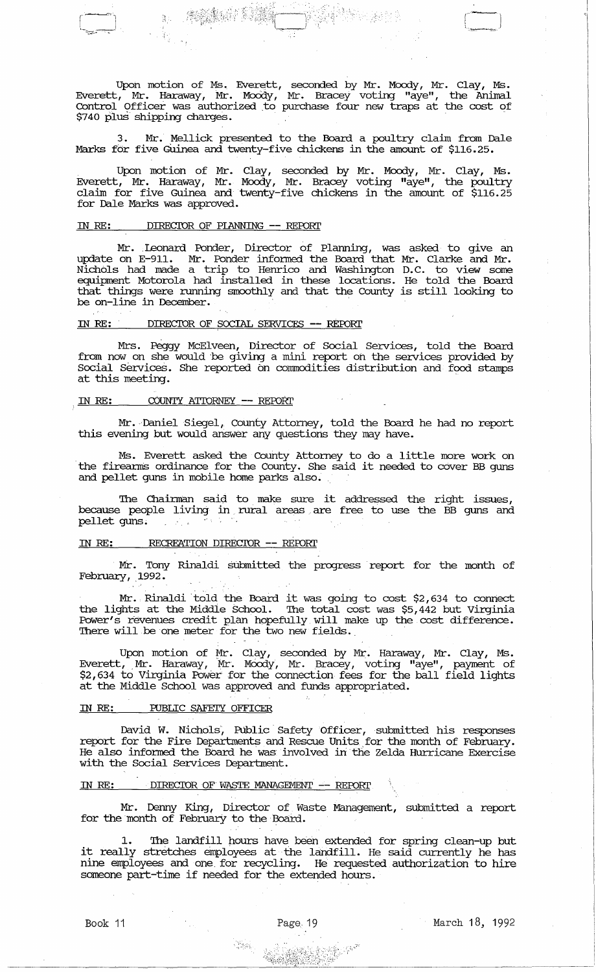Upon motion of Ms. Everett, seconded by Mr. Moody, Mr. Clay, Ms. Everett, Mr. Haraway, Mr. Moody, Mr. Bracey voting "aye", the Animal Control Officer was authorized ,to purchase four new traps at the cost of \$740 plus shipping charges.

3. Mr. Mellick presented to the Board a poultry claim from Dale Marks for five GUinea and twenty-five chickens in the amount of \$116.25.

Upon motion of Mr. Clay, seconded by Mr. Moody, Mr. Clay, Ms. Everett, Mr. Haraway, Mr. Moody, Mr. Bracey voting "aye", the poultry claim for five Guinea and twenty-five chickens in the amount of \$116.25 for Dale Marks was approved.

### IN RE: DIRECTOR OF PLANNING -- REPORT

I--~l '--~--,---

-':.

Mr. Leonard Ponder, Director of Planning, was asked to give an update on E-911. Mr. Ponder informed the Board that Mr. Clarke and Mr. Nichols had made a trip to Henrico and Washington D.C. to view some equipment Motorola had installed in these locations. He told the Board that things were running smoothly and that the County is still looking to be on-line in December.

#### IN *RE:* DIRECIOR OF SOCIAL SERVICES -- *REFORl'*

Mrs. Peggy McElveen, Director of Social Services, told the Board from now on she would be giving a mini report on the services provided by Social Services. She reported on commodities distribution and food stamps at this meeting.

### IN RE: COUNTY ATTORNEY -- REPORT

Mr. Daniel Siegel, county Attorney, told the Board he had no report this evening but would answer any questions they may have.

Ms. Everett asked the County Attorney to do a little more work on the firearms ordinance for the County. She said it needed to cover BB guns and pellet guns in mobile home parks also.

The Chainnan said to, make sure it addressed the right issues, because people living in rural areas are free to use the BB guns and  $p$ ellet guns.

### IN *RE:* RECREATION DIRECIOR -- REFORl'

Mr. Tony Rinaldi submitted the progress report for the month of February, 1992.

Mr. Rinaldi told the Board it was going to cost \$2,634 to connect the lights at the Middle School. The total cost was \$5,442 but Virginia Power's revenues credit plan hOpefully will make up the cost difference. There will be one meter for the two new fields.

Upon motion of Mr. Clay, seconded by Mr. Haraway, Mr. Clay, Ms. Everett, Mr. Haraway, Mr. Moody, Mr. Bracey, voting "aye", payment of \$2,634 to Virginia Power for the connection fees for the ball field lights at the Middle School was approved and funds appropriated.

## IN RE: PUBLIC SAFETY OFFICER

David W. Nichols, Public Safety Officer, submitted his responses report for the Fire Departments and Rescue Units for the month of February. He also informed the Board he was involved in the Zelda Hurricane Exercise with the Social Services Department.

### IN RE: DIRECTOR OF WASTE MANAGEMENT -- REPORT

Mr. Denny King, Director of Waste Management, submitted a report for the month of February to the Board.

The landfill hours have been extended for spring clean-up but it really stretches employees at the landfill. He said currently he has nine employees and one for recycling. He requested authorization to hire someone part-time if needed for the extended hours.

. .. .~, ,.~ *\_\_\_\_\_\_\_\_* ~ *\_\_\_\_* --------<;-'-:,>-'-:::\Sg~f;2h>\~-:..:c:.:~--/-"" \_\_\_\_\_\_\_\_\_\_\_\_\_\_\_ \_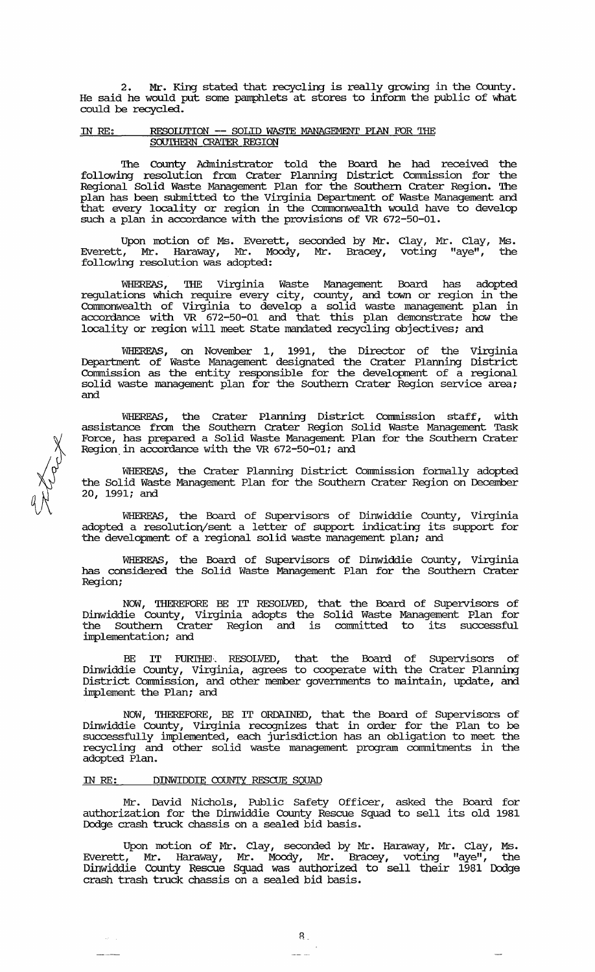2. Mr. King stated that recycling is really growing in the County. He said he would put some pamphlets at stores to infonn the public of what could be recycled.

### IN RE: RESOLUTION -- SOLID WASTE MANAGEMENT PIAN FOR THE SOUTHERN CRATER REGION

The County Administrator told the Board he had received the following resolution from Crater Planning District Commission for the Regional Solid Waste Management Plan for the Southern Crater Region. The plan has been submitted to the Virginia Deparbnent of Waste Management and that every locality or region in the Commonwealth would have to develop such a plan in accordance with the provisions of VR 672-50-01.

Upon motion of Ms. Everett, seconded by Mr. Clay, Mr. Clay, Ms. Everett, Mr. Haraway, Mr. Moody, Mr. Bracey, voting "aye", the following resolution was adopted:

WHEREAS, THE Virginia Waste Management Board has adopted regulations which require every city, county, and town or region in the Connnonwealth of Virginia to develop a solid waste management plan in accordance with VR 672-50-01 and that this plan demonstrate how the locality or region will meet state mandated recycling objectives; and

WHEREAS, on November 1, 1991, the Director of the Virginia Department of Waste Management designated the Crater Planning District commission as the entity responsible for the development of a regional solid waste management plan for the Southern Crater Region service area; and

WHEREAS, the Crater Planning District commission staff, with assistance from the Southern Crater Region Solid waste Management Task Force, has prepared a Solid Waste Management Plan for the Southern Crater Region, in accordance with the VR 672-50-01; and

WHEREAS, the Crater Planning District commission formally adopted the Solid Waste Management Plan for the Southern Crater Region on December 20, 1991; and

WHEREAS, the Board of Supervisors of Dinwiddie County, Virginia adopted a resolution/sent a letter of support indicating its support for the development of a regional solid waste management plan; and

WHEREAS, the Board of supervisors of Dinwiddie County, Virginia has considered the Solid Waste Management Plan for the Southern Crater Region;

NOW, THEREFORE BE IT RESOLVED, that the Board of Supervisors of Dinwiddie County, Virginia adopts the Solid Waste Management Plan for the Southern Crater Region and is committed to its successful implementation; and

BE IT FURIHEW. RESOLVED, that the Board of Supervisors of Dinwiddie County, Virginia, agrees to cooperate with the Crater Planning District Commission, and other member governments to maintain, update, and implement the Plan; and

NOW, THEREFORE, BE IT ORDAINED, that the Board of Supervisors of Dinwiddie County, Virginia recognizes that in order for the Plan to be successfully implemented, each jurisdiction has an obligation to meet the recycling and other solid waste management program commitments in the adopted Plan.

### IN RE: DINWIDDIE COUNTY RESCUE SQUAD

 $\hat{\omega} = \hat{\tau}$ 

Mr. David Nichols, Public Safety officer, asked the Board for authorization for the Dinwiddie County Rescue Squad to sell its old 1981 Dodge crash truck chassis on a sealed bid basis.

Upon motion of Mr. Clay, seconded by Mr. Haraway, Mr. Clay, Ms. Everett, Mr. Haraway, Mr. Moody, Mr. Bracey, voting "aye", the Dinwiddie County Rescue Squad was authorized to sell their 1981 Dodge crash trash truck chassis on a sealed bid basis.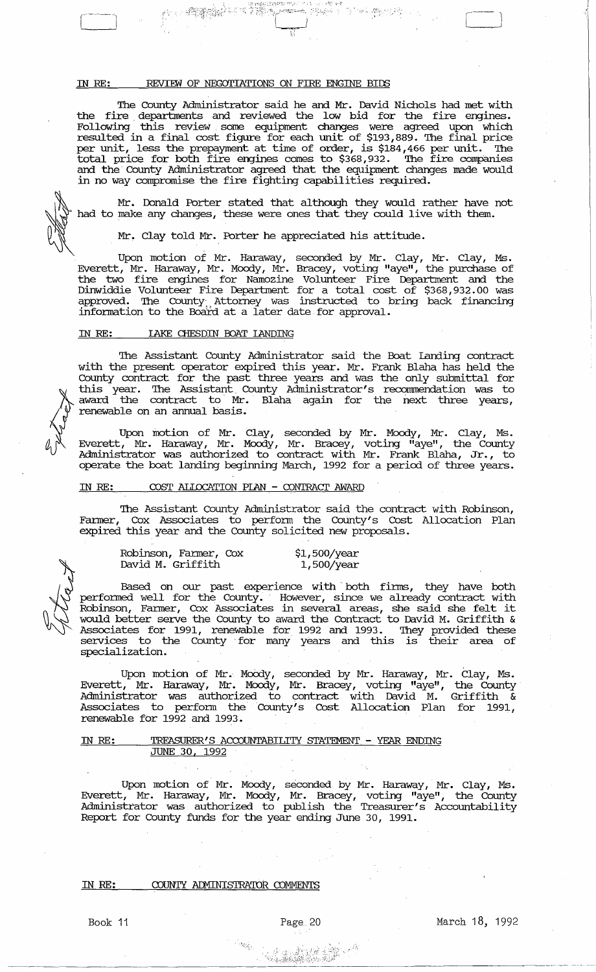# IN RE: REVIEW OF NEGOTIATIONS ON FIRE ENGINE BIDS

r -.,.

'!he County Administrator said he and Mr. David Nichols had met with the fire departments and reviewed the low bid for the fire engines. Following this review some equipment changes were agreed upon which resulted in a final cost figure for each unit of \$193,889. '!he final price per unit, less the prepayment at time of order, is \$184,466 per unit. The total price for both fire engines comes to \$368,932. The fire companies and the County Administrator agreed that the equipment changes made would in no way compromise the fire fighting capabilities required.



Mr. Donald Porter stated that although they would rather have not had to make any changes, these were ones that they could live with them.

Mr. Clay told Mr. Porter he appreciated his attitude.

Upon motion of Mr. Haraway, seconded by Mr. Clay, Mr. Clay, Ms. Everett, Mr. Haraway, Mr. Moody, Mr. Bracey, voting "aye", the purchase of the two fire engines for Namozine Volunteer Fire Department and the Dinwiddie Volunteer Fire Deparbnent for a total cost of \$368,932.00 was approved. The County Attorney was instructed to bring back financing information to the Boaid at a later date for approval.

### IN *RE:* lAKE CHESDIN POAT lANDING

The Assistant County Administrator said the Boat Landing contract with the present operator expired this year. Mr. Frank Blaha has held the County contract for the past three years and was the only submittal for this year. The Assistant County Administrator's recommendation was to award the contract to Mr. Blaha again for the next three years, renewable on an annual basis.

Upon motion of Mr. Clay, seconded by Mr. Moody, Mr. Clay, Ms. Everett, Mr. Haraway, Mr. Moody, Mr. Bracey, voting "aye", the County Administrator was authorized to contract with Mr. Frank Blaha, Jr., to operate the boat landing beginning March, 1992 for a period of three years.

### IN RE: COST ALLOCATION PIAN - CONTRACT AWARD

The Assistant County Administrator said the contract with Robinson, Farmer, Cox Associates to perform the County's Cost Allocation Plan expired this year and the County solicited new proposals.

| Robinson, Farmer, Cox | \$1,500/year |
|-----------------------|--------------|
| David M. Griffith     | 1,500/year   |

Based on our past experience with both firms, they have both performed well for the County. However, since we already contract with Robinson, Farmer, Cox Associates in several areas, she said she felt it would better serve the County to award the Contract to David M. Griffith & Associates for 1991, renewable for 1992 and 1993. '!hey provided these services to the County for many years and this is their area of specialization.

Upon motion of Mr. MoOdy, seconded by Mr. Haraway, Mr. Clay, Ms. Everett, Mr. Haraway, Mr. Moody, Mr. Bracey, voting "aye", the County Administrator was authorized to contract with David M. Griffith & Associates to perform the county's Cost Allocation Plan for 1991, renewable for 1992 and 1993.

### IN *RE:* TREASURER'S ACCOUNTABILITY STATEMENT. - YEAR ENDING JUNE 30, 1992

Upon motion of Mr. Moody, seconded by Mr. Haraway, Mr. Clay, Ms. Everett, Mr. Haraway, Mr. Moody, Mr. Bracey, voting "aye", the County Administrator was authorized to publish the Treasurer's Accountability Report for County funds for the year ending June 30, 1991.

### IN RE: COUNTY ADMINISTRATOR COMMENTS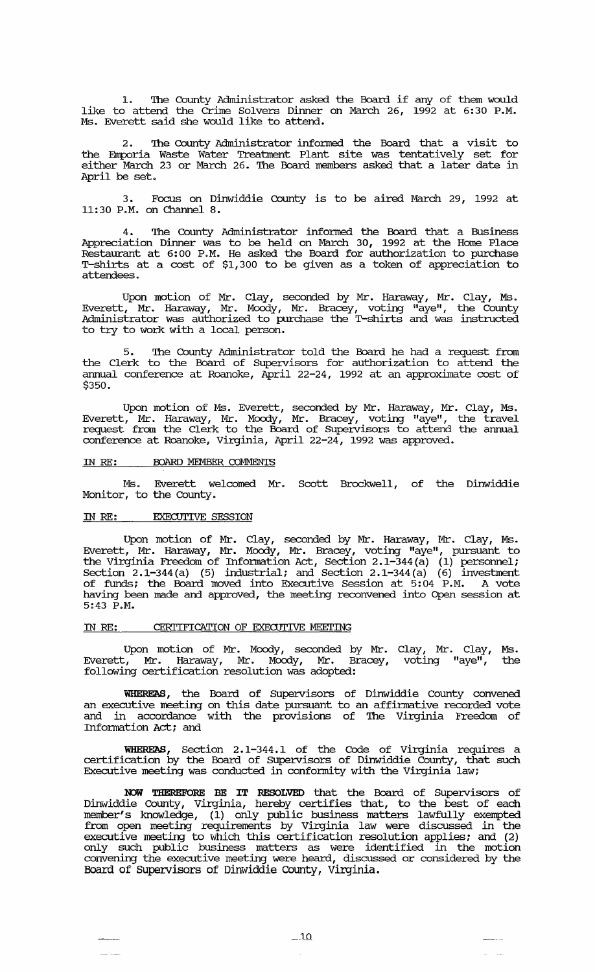1. The County Administrator asked the Board if any of them would like to attend the Crime Solvers Dinner on March 26, 1992 at 6:30 P.M. Ms. Everett said she would like to attend.

The County Administrator informed the Board that a visit to the Emporia Waste Water Treatment Plant site was tentatively set for either March 23 or March 26. The Board members asked that a later date in April be set.

3. Focus on Dinwiddie County is to be aired March 29, 1992 at 11:30 P.M. on Channel 8.

4. The County Administrator informed the Board that a Business Appreciation Dinner was to be held on March 30, 1992 at the Home Place Restaurant at 6:00 P.M. He asked the Board for authorization to purchase T-shirts at a cost of \$1,300 to be given as a token of appreciation to attendees.

Upon motion of Mr. Clay, seconded by Mr. Haraway, Mr. Clay, Ms. Everett, Mr. Haraway, Mr. Moody, Mr. Bracey, voting "aye", the County Administrator was authorized to purchase the T-shirts and was instructed to try to work with a local person.

5. '!he County Administrator told the Board he had a request from the Clerk to the Board of Supervisors for authorization to attend the annual conference at Roanoke, April 22-24, 1992 at an approximate cost of \$350.

Upon motion of Ms. Everett, seconded by Mr. Haraway, Mr. Clay, Ms. Everett, Mr. Haraway, Mr. Moody, Mr. Bracey, voting "aye", the travel request from the Clerk to the Board of Supervisors to attend the annual conference at Roanoke, Virginia, April 22-24, 1992 was approved.

## IN RE: BOARD MEMBER COMMENTS

Ms. Everett welcomed Mr. Scott Brockwell, of the Dinwiddie Monitor, to the county.

### IN RE: EXECUTIVE SESSION

Upon motion of Mr. Clay, seconded by Mr. Haraway, Mr. Clay, Ms. Everett, Mr. Haraway, Mr. Moody, Mr. Bracey, voting "aye", pursuant to the Virginia Freedom of Information Act, Section 2.1-344(a)  $(1)$  personnel; Section 2.1-344(a) (5) industrial; and section 2.1-344(a) (6) investment of funds; the Board moved into Executive Session at 5:04 P.M. A vote having been made and approved, the meeting reconvened into Open session at 5:43 P.M.

## IN RE: CERITIFICATION OF EXECUTIVE MEETING

Upon motion of Mr. Moody, seconded by Mr. Clay, Mr. Clay, Ms. Everett, Mr. Haraway, Mr. Moody, Mr. Bracey, voting "aye", the following certification resolution was adopted:

WHEREAS, the Board of Supervisors of Dinwiddie County convened an executive meeting on this date pursuant to an affirmative recorded vote and in accordance with the provisions of The Virginia Freedom of Information Act; and

**WHEREAS,** Section 2.1-344.1 of the Code of Virginia requires a certification by the Board of Supe:rvisors of Dinwiddie County, that such Executive meeting was conducted in conformity with the Virginia law;

**NOW THEREFORE BE IT RESOLVED** that the Board of Supervisors of Dinwiddie County, Virginia, hereby certifies that, to the best of each member's knowledge, (1) only public business matters lawfully exempted from open meeting requirements by Virginia law were discussed in the executive meeting to which this certification resolution applies; and (2) only such public business matters as were identified in the motion convening the executive meeting were heard, discussed or considered by the Board of supervisors of Dinwiddie County, Virginia.